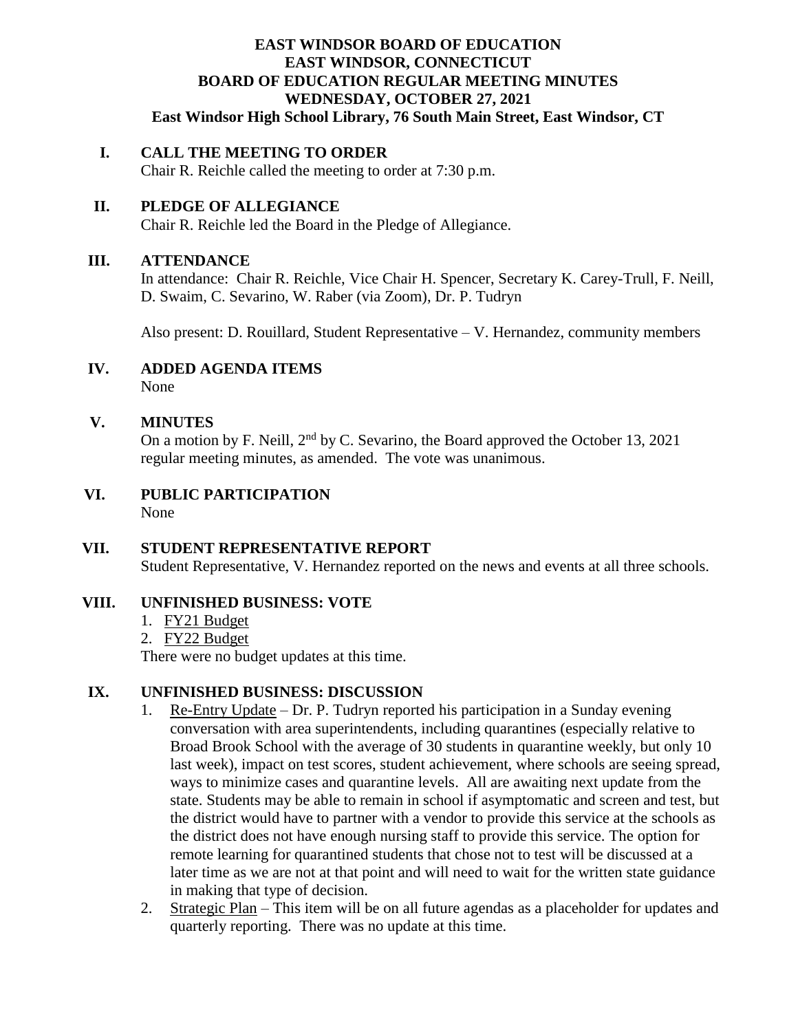### **EAST WINDSOR BOARD OF EDUCATION EAST WINDSOR, CONNECTICUT BOARD OF EDUCATION REGULAR MEETING MINUTES WEDNESDAY, OCTOBER 27, 2021 East Windsor High School Library, 76 South Main Street, East Windsor, CT**

#### **I. CALL THE MEETING TO ORDER**

Chair R. Reichle called the meeting to order at 7:30 p.m.

# **II. PLEDGE OF ALLEGIANCE**

Chair R. Reichle led the Board in the Pledge of Allegiance.

#### **III. ATTENDANCE**

In attendance: Chair R. Reichle, Vice Chair H. Spencer, Secretary K. Carey-Trull, F. Neill, D. Swaim, C. Sevarino, W. Raber (via Zoom), Dr. P. Tudryn

Also present: D. Rouillard, Student Representative – V. Hernandez, community members

# **IV. ADDED AGENDA ITEMS**

None

## **V. MINUTES**

On a motion by F. Neill,  $2<sup>nd</sup>$  by C. Sevarino, the Board approved the October 13, 2021 regular meeting minutes, as amended. The vote was unanimous.

 **VI. PUBLIC PARTICIPATION** None

#### **VII. STUDENT REPRESENTATIVE REPORT** Student Representative, V. Hernandez reported on the news and events at all three schools.

## **VIII. UNFINISHED BUSINESS: VOTE**

- 1. FY21 Budget
- 2. FY22 Budget

There were no budget updates at this time.

#### **IX. UNFINISHED BUSINESS: DISCUSSION**

- 1. Re-Entry Update Dr. P. Tudryn reported his participation in a Sunday evening conversation with area superintendents, including quarantines (especially relative to Broad Brook School with the average of 30 students in quarantine weekly, but only 10 last week), impact on test scores, student achievement, where schools are seeing spread, ways to minimize cases and quarantine levels. All are awaiting next update from the state. Students may be able to remain in school if asymptomatic and screen and test, but the district would have to partner with a vendor to provide this service at the schools as the district does not have enough nursing staff to provide this service. The option for remote learning for quarantined students that chose not to test will be discussed at a later time as we are not at that point and will need to wait for the written state guidance in making that type of decision.
- 2. Strategic Plan This item will be on all future agendas as a placeholder for updates and quarterly reporting. There was no update at this time.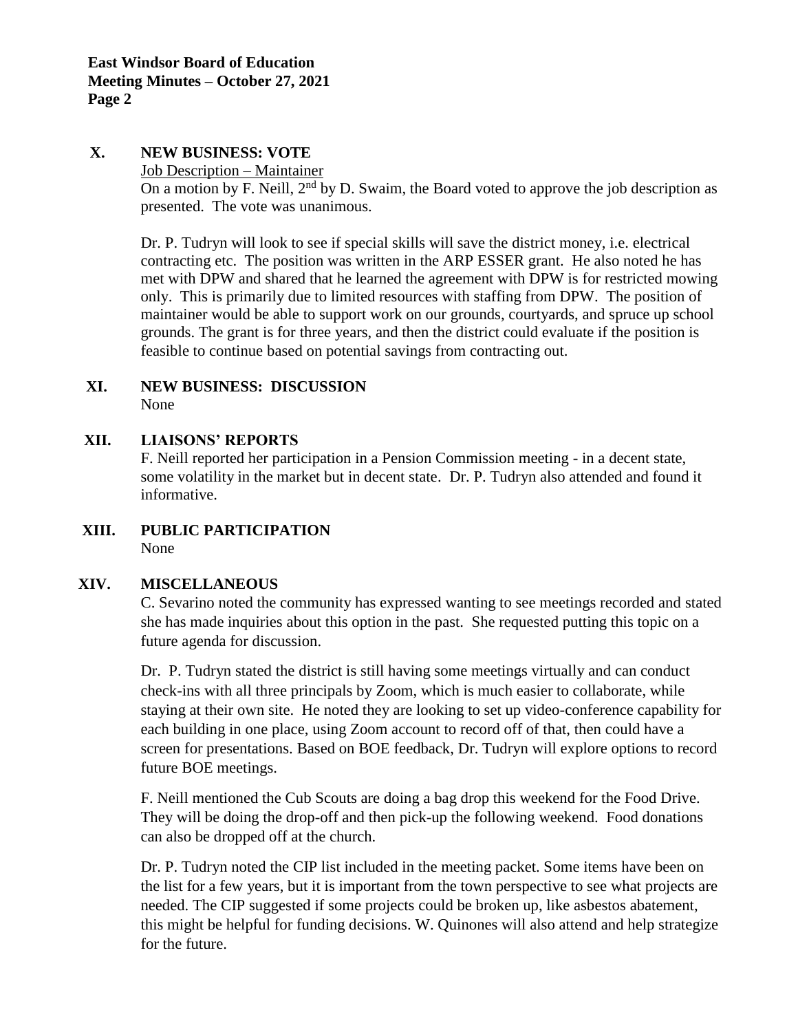#### **X. NEW BUSINESS: VOTE**

Job Description – Maintainer

On a motion by F. Neill,  $2<sup>nd</sup>$  by D. Swaim, the Board voted to approve the job description as presented. The vote was unanimous.

Dr. P. Tudryn will look to see if special skills will save the district money, i.e. electrical contracting etc. The position was written in the ARP ESSER grant. He also noted he has met with DPW and shared that he learned the agreement with DPW is for restricted mowing only. This is primarily due to limited resources with staffing from DPW. The position of maintainer would be able to support work on our grounds, courtyards, and spruce up school grounds. The grant is for three years, and then the district could evaluate if the position is feasible to continue based on potential savings from contracting out.

#### **XI. NEW BUSINESS: DISCUSSION** None

## **XII. LIAISONS' REPORTS**

F. Neill reported her participation in a Pension Commission meeting - in a decent state, some volatility in the market but in decent state. Dr. P. Tudryn also attended and found it informative.

**XIII. PUBLIC PARTICIPATION** None

## **XIV. MISCELLANEOUS**

C. Sevarino noted the community has expressed wanting to see meetings recorded and stated she has made inquiries about this option in the past. She requested putting this topic on a future agenda for discussion.

Dr. P. Tudryn stated the district is still having some meetings virtually and can conduct check-ins with all three principals by Zoom, which is much easier to collaborate, while staying at their own site. He noted they are looking to set up video-conference capability for each building in one place, using Zoom account to record off of that, then could have a screen for presentations. Based on BOE feedback, Dr. Tudryn will explore options to record future BOE meetings.

F. Neill mentioned the Cub Scouts are doing a bag drop this weekend for the Food Drive. They will be doing the drop-off and then pick-up the following weekend. Food donations can also be dropped off at the church.

Dr. P. Tudryn noted the CIP list included in the meeting packet. Some items have been on the list for a few years, but it is important from the town perspective to see what projects are needed. The CIP suggested if some projects could be broken up, like asbestos abatement, this might be helpful for funding decisions. W. Quinones will also attend and help strategize for the future.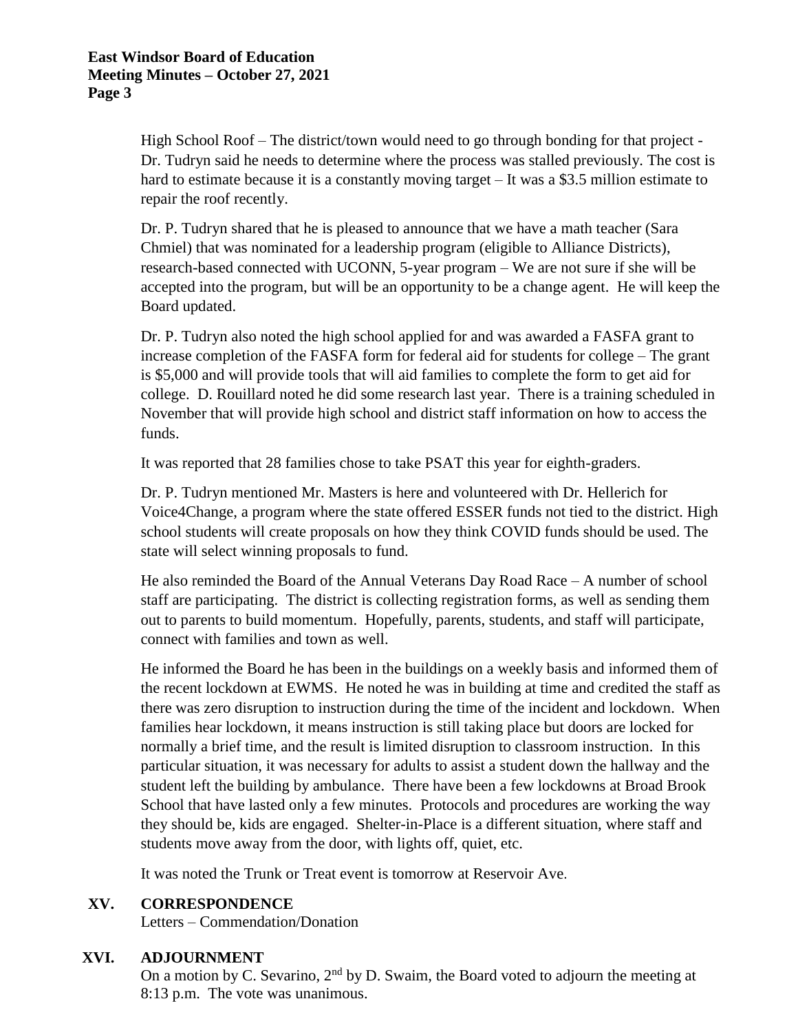High School Roof – The district/town would need to go through bonding for that project - Dr. Tudryn said he needs to determine where the process was stalled previously. The cost is hard to estimate because it is a constantly moving target – It was a \$3.5 million estimate to repair the roof recently.

Dr. P. Tudryn shared that he is pleased to announce that we have a math teacher (Sara Chmiel) that was nominated for a leadership program (eligible to Alliance Districts), research-based connected with UCONN, 5-year program – We are not sure if she will be accepted into the program, but will be an opportunity to be a change agent. He will keep the Board updated.

Dr. P. Tudryn also noted the high school applied for and was awarded a FASFA grant to increase completion of the FASFA form for federal aid for students for college – The grant is \$5,000 and will provide tools that will aid families to complete the form to get aid for college. D. Rouillard noted he did some research last year. There is a training scheduled in November that will provide high school and district staff information on how to access the funds.

It was reported that 28 families chose to take PSAT this year for eighth-graders.

Dr. P. Tudryn mentioned Mr. Masters is here and volunteered with Dr. Hellerich for Voice4Change, a program where the state offered ESSER funds not tied to the district. High school students will create proposals on how they think COVID funds should be used. The state will select winning proposals to fund.

He also reminded the Board of the Annual Veterans Day Road Race – A number of school staff are participating. The district is collecting registration forms, as well as sending them out to parents to build momentum. Hopefully, parents, students, and staff will participate, connect with families and town as well.

He informed the Board he has been in the buildings on a weekly basis and informed them of the recent lockdown at EWMS. He noted he was in building at time and credited the staff as there was zero disruption to instruction during the time of the incident and lockdown. When families hear lockdown, it means instruction is still taking place but doors are locked for normally a brief time, and the result is limited disruption to classroom instruction. In this particular situation, it was necessary for adults to assist a student down the hallway and the student left the building by ambulance. There have been a few lockdowns at Broad Brook School that have lasted only a few minutes. Protocols and procedures are working the way they should be, kids are engaged. Shelter-in-Place is a different situation, where staff and students move away from the door, with lights off, quiet, etc.

It was noted the Trunk or Treat event is tomorrow at Reservoir Ave.

#### **XV. CORRESPONDENCE**

Letters – Commendation/Donation

#### **XVI. ADJOURNMENT**

On a motion by C. Sevarino, 2<sup>nd</sup> by D. Swaim, the Board voted to adjourn the meeting at 8:13 p.m. The vote was unanimous.